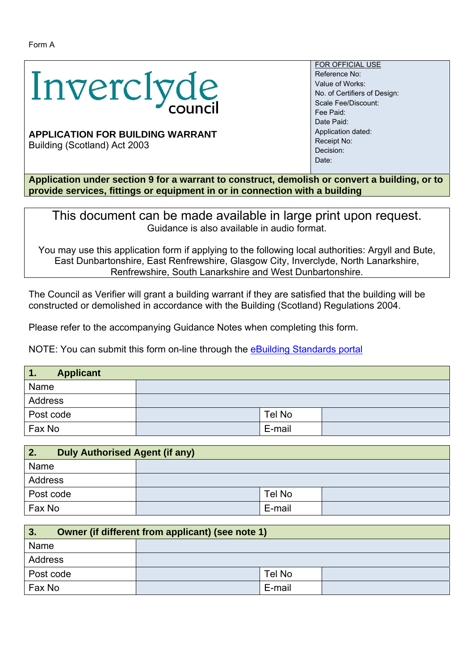

## **APPLICATION FOR BUILDING WARRANT**

Building (Scotland) Act 2003

FOR OFFICIAL USE Reference No: Value of Works: No. of Certifiers of Design: Scale Fee/Discount: Fee Paid: Date Paid: Application dated: Receipt No: Decision: Date:

**Application under section 9 for a warrant to construct, demolish or convert a building, or to provide services, fittings or equipment in or in connection with a building** 

This document can be made available in large print upon request. Guidance is also available in audio format.

You may use this application form if applying to the following local authorities: Argyll and Bute, East Dunbartonshire, East Renfrewshire, Glasgow City, Inverclyde, North Lanarkshire, Renfrewshire, South Lanarkshire and West Dunbartonshire.

The Council as Verifier will grant a building warrant if they are satisfied that the building will be constructed or demolished in accordance with the Building (Scotland) Regulations 2004.

Please refer to the accompanying Guidance Notes when completing this form.

NOTE: You can submit this form on-line through the **eBuilding Standards portal** 

| $\blacksquare$<br><b>Applicant</b> |        |  |
|------------------------------------|--------|--|
| Name                               |        |  |
| Address                            |        |  |
| Post code                          | Tel No |  |
| Fax No                             | E-mail |  |

| <b>Duly Authorised Agent (if any)</b><br>2. |        |  |
|---------------------------------------------|--------|--|
| Name                                        |        |  |
| Address                                     |        |  |
| Post code                                   | Tel No |  |
| Fax No                                      | E-mail |  |

| Owner (if different from applicant) (see note 1)<br>3. |  |        |  |
|--------------------------------------------------------|--|--------|--|
| Name                                                   |  |        |  |
| Address                                                |  |        |  |
| Post code                                              |  | Tel No |  |
| Fax No                                                 |  | E-mail |  |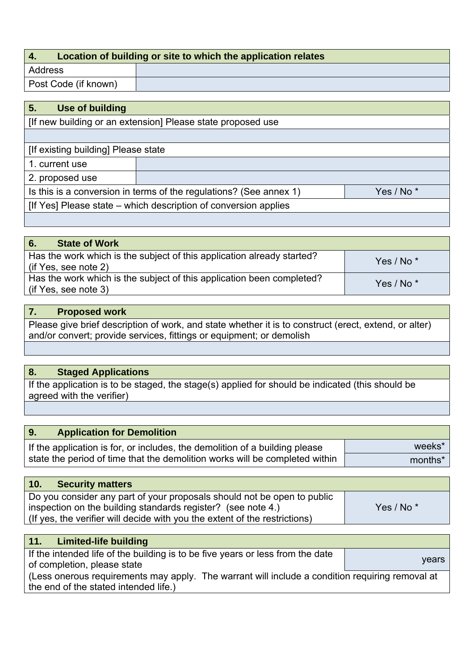| Location of building or site to which the application relates<br>$\mathbf{4}$ |  |
|-------------------------------------------------------------------------------|--|
| Address                                                                       |  |
| Post Code (if known)                                                          |  |

| 5.<br><b>Use of building</b>                                                                |  |  |
|---------------------------------------------------------------------------------------------|--|--|
| [If new building or an extension] Please state proposed use                                 |  |  |
|                                                                                             |  |  |
| [If existing building] Please state                                                         |  |  |
| 1. current use                                                                              |  |  |
| 2. proposed use                                                                             |  |  |
| Is this is a conversion in terms of the regulations? (See annex 1)<br>Yes / No <sup>*</sup> |  |  |
| [If Yes] Please state – which description of conversion applies                             |  |  |
|                                                                                             |  |  |

| 6.<br><b>State of Work</b>                                                                     |                       |
|------------------------------------------------------------------------------------------------|-----------------------|
| Has the work which is the subject of this application already started?<br>(if Yes, see note 2) | Yes / No <sup>*</sup> |
| Has the work which is the subject of this application been completed?<br>(if Yes, see note 3)  | Yes / No <sup>*</sup> |

# **7. Proposed work**

Please give brief description of work, and state whether it is to construct (erect, extend, or alter) and/or convert; provide services, fittings or equipment; or demolish

## **8. Staged Applications**

If the application is to be staged, the stage(s) applied for should be indicated (this should be agreed with the verifier)

| <b>9.</b><br><b>Application for Demolition</b>                              |         |
|-----------------------------------------------------------------------------|---------|
| If the application is for, or includes, the demolition of a building please | weeks*  |
| state the period of time that the demolition works will be completed within | months* |

| 10.<br><b>Security matters</b>                                             |              |
|----------------------------------------------------------------------------|--------------|
| Do you consider any part of your proposals should not be open to public    |              |
| inspection on the building standards register? (see note 4.)               | Yes / No $*$ |
| (If yes, the verifier will decide with you the extent of the restrictions) |              |

| Limited-life building<br>11.                                                                    |       |
|-------------------------------------------------------------------------------------------------|-------|
| If the intended life of the building is to be five years or less from the date                  |       |
| of completion, please state                                                                     | vears |
| (Less onerous requirements may apply. The warrant will include a condition requiring removal at |       |
| the end of the stated intended life.)                                                           |       |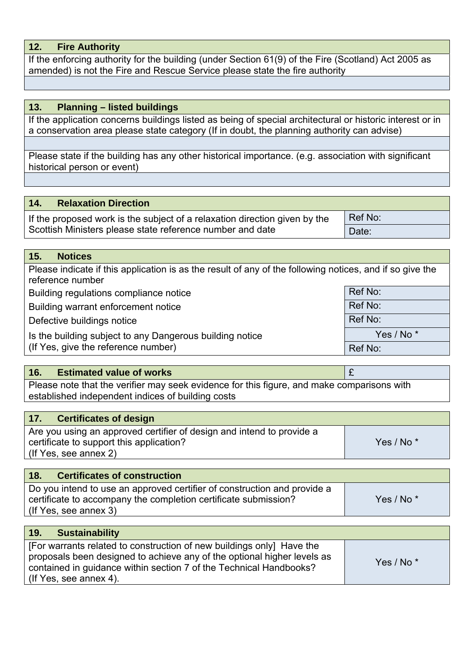## **12. Fire Authority**

If the enforcing authority for the building (under Section 61(9) of the Fire (Scotland) Act 2005 as amended) is not the Fire and Rescue Service please state the fire authority

#### **13. Planning – listed buildings**

If the application concerns buildings listed as being of special architectural or historic interest or in a conservation area please state category (If in doubt, the planning authority can advise)

Please state if the building has any other historical importance. (e.g. association with significant historical person or event)

#### **14. Relaxation Direction**

If the proposed work is the subject of a relaxation direction given by the Scottish Ministers please state reference number and date Ref No: Date:

### **15. Notices**

Please indicate if this application is as the result of any of the following notices, and if so give the reference number Building regulations compliance notice Ref No: Ref No: Building warrant enforcement notice **Ref No:** Ref No: Defective buildings notice **Ref No: Ref No: Ref No:** Is the building subject to any Dangerous building notice (If Yes, give the reference number) Yes / No \* Ref No:

#### **16. Estimated value of works** £

Please note that the verifier may seek evidence for this figure, and make comparisons with established independent indices of building costs

| 17.<br><b>Certificates of design</b>                                                                                                       |  |
|--------------------------------------------------------------------------------------------------------------------------------------------|--|
| Are you using an approved certifier of design and intend to provide a<br>Yes / No <sup>*</sup><br>certificate to support this application? |  |
| l (If Yes, see annex 2)                                                                                                                    |  |

| 18.<br><b>Certificates of construction</b>                               |                       |
|--------------------------------------------------------------------------|-----------------------|
| Do you intend to use an approved certifier of construction and provide a |                       |
| certificate to accompany the completion certificate submission?          | Yes / No <sup>*</sup> |
| (If Yes, see annex 3)                                                    |                       |

| 19.<br><b>Sustainability</b>                                                                                                                                                                                                                       |                       |
|----------------------------------------------------------------------------------------------------------------------------------------------------------------------------------------------------------------------------------------------------|-----------------------|
| [For warrants related to construction of new buildings only] Have the<br>proposals been designed to achieve any of the optional higher levels as<br>contained in guidance within section 7 of the Technical Handbooks?<br>I (If Yes, see annex 4). | Yes / No <sup>*</sup> |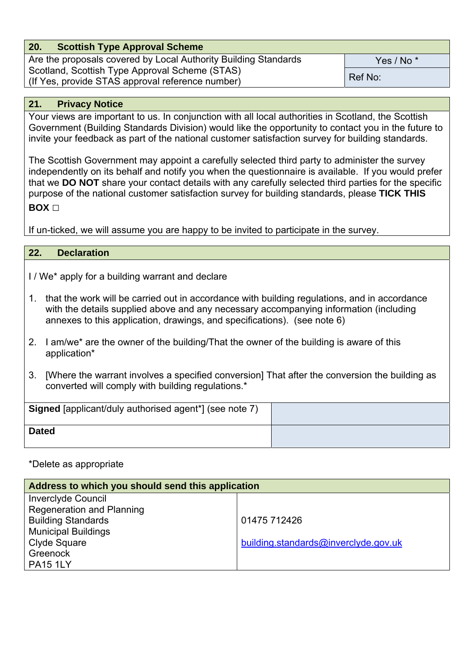| 20.<br><b>Scottish Type Approval Scheme</b>                     |                       |  |
|-----------------------------------------------------------------|-----------------------|--|
| Are the proposals covered by Local Authority Building Standards | Yes / No <sup>*</sup> |  |
| Scotland, Scottish Type Approval Scheme (STAS)                  |                       |  |
| (If Yes, provide STAS approval reference number)                | Ref No:               |  |

## **21. Privacy Notice**

Your views are important to us. In conjunction with all local authorities in Scotland, the Scottish Government (Building Standards Division) would like the opportunity to contact you in the future to invite your feedback as part of the national customer satisfaction survey for building standards.

The Scottish Government may appoint a carefully selected third party to administer the survey independently on its behalf and notify you when the questionnaire is available. If you would prefer that we **DO NOT** share your contact details with any carefully selected third parties for the specific purpose of the national customer satisfaction survey for building standards, please **TICK THIS BOX** □

If un-ticked, we will assume you are happy to be invited to participate in the survey.

### **22. Declaration**

I / We\* apply for a building warrant and declare

- 1. that the work will be carried out in accordance with building regulations, and in accordance with the details supplied above and any necessary accompanying information (including annexes to this application, drawings, and specifications). (see note 6)
- 2. I am/we\* are the owner of the building/That the owner of the building is aware of this application\*
- 3. [Where the warrant involves a specified conversion] That after the conversion the building as converted will comply with building regulations.\*

| Signed [applicant/duly authorised agent*] (see note 7) |  |
|--------------------------------------------------------|--|
| <b>Dated</b>                                           |  |

### \*Delete as appropriate

| Address to which you should send this application |                                      |  |  |  |  |
|---------------------------------------------------|--------------------------------------|--|--|--|--|
| <b>Inverciyde Council</b>                         |                                      |  |  |  |  |
| <b>Regeneration and Planning</b>                  |                                      |  |  |  |  |
| <b>Building Standards</b>                         | 01475 712426                         |  |  |  |  |
| <b>Municipal Buildings</b>                        |                                      |  |  |  |  |
| Clyde Square                                      | building.standards@inverclyde.gov.uk |  |  |  |  |
| Greenock                                          |                                      |  |  |  |  |
| <b>PA15 1LY</b>                                   |                                      |  |  |  |  |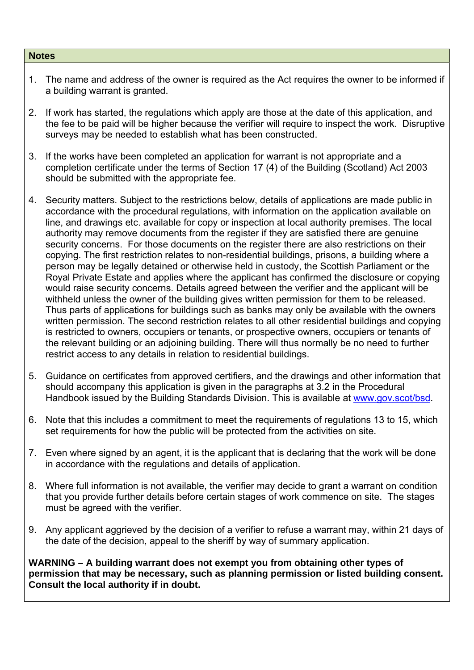#### **Notes**

- 1. The name and address of the owner is required as the Act requires the owner to be informed if a building warrant is granted.
- 2. If work has started, the regulations which apply are those at the date of this application, and the fee to be paid will be higher because the verifier will require to inspect the work. Disruptive surveys may be needed to establish what has been constructed.
- 3. If the works have been completed an application for warrant is not appropriate and a completion certificate under the terms of Section 17 (4) of the Building (Scotland) Act 2003 should be submitted with the appropriate fee.
- 4. Security matters. Subject to the restrictions below, details of applications are made public in accordance with the procedural regulations, with information on the application available on line, and drawings etc. available for copy or inspection at local authority premises. The local authority may remove documents from the register if they are satisfied there are genuine security concerns. For those documents on the register there are also restrictions on their copying. The first restriction relates to non-residential buildings, prisons, a building where a person may be legally detained or otherwise held in custody, the Scottish Parliament or the Royal Private Estate and applies where the applicant has confirmed the disclosure or copying would raise security concerns. Details agreed between the verifier and the applicant will be withheld unless the owner of the building gives written permission for them to be released. Thus parts of applications for buildings such as banks may only be available with the owners written permission. The second restriction relates to all other residential buildings and copying is restricted to owners, occupiers or tenants, or prospective owners, occupiers or tenants of the relevant building or an adjoining building. There will thus normally be no need to further restrict access to any details in relation to residential buildings.
- 5. Guidance on certificates from approved certifiers, and the drawings and other information that should accompany this application is given in the paragraphs at 3.2 in the Procedural Handbook issued by the Building Standards Division. This is available at www.gov.scot/bsd.
- 6. Note that this includes a commitment to meet the requirements of regulations 13 to 15, which set requirements for how the public will be protected from the activities on site.
- 7. Even where signed by an agent, it is the applicant that is declaring that the work will be done in accordance with the regulations and details of application.
- 8. Where full information is not available, the verifier may decide to grant a warrant on condition that you provide further details before certain stages of work commence on site. The stages must be agreed with the verifier.
- 9. Any applicant aggrieved by the decision of a verifier to refuse a warrant may, within 21 days of the date of the decision, appeal to the sheriff by way of summary application.

**WARNING – A building warrant does not exempt you from obtaining other types of permission that may be necessary, such as planning permission or listed building consent. Consult the local authority if in doubt.**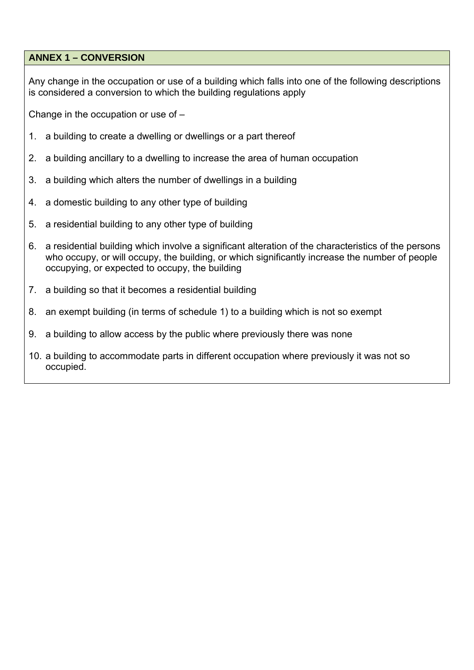## **ANNEX 1 – CONVERSION**

Any change in the occupation or use of a building which falls into one of the following descriptions is considered a conversion to which the building regulations apply

Change in the occupation or use of –

- 1. a building to create a dwelling or dwellings or a part thereof
- 2. a building ancillary to a dwelling to increase the area of human occupation
- 3. a building which alters the number of dwellings in a building
- 4. a domestic building to any other type of building
- 5. a residential building to any other type of building
- 6. a residential building which involve a significant alteration of the characteristics of the persons who occupy, or will occupy, the building, or which significantly increase the number of people occupying, or expected to occupy, the building
- 7. a building so that it becomes a residential building
- 8. an exempt building (in terms of schedule 1) to a building which is not so exempt
- 9. a building to allow access by the public where previously there was none
- 10. a building to accommodate parts in different occupation where previously it was not so occupied.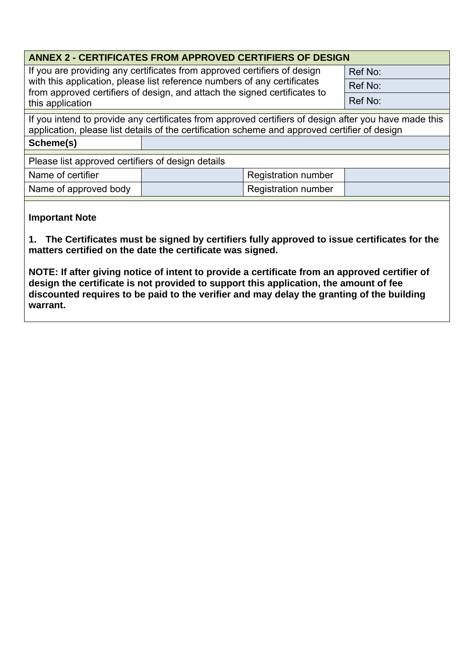| <b>ANNEX 2 - CERTIFICATES FROM APPROVED CERTIFIERS OF DESIGN</b>                                                                                                                                                                                      |  |                            |         |  |  |
|-------------------------------------------------------------------------------------------------------------------------------------------------------------------------------------------------------------------------------------------------------|--|----------------------------|---------|--|--|
| If you are providing any certificates from approved certifiers of design<br>with this application, please list reference numbers of any certificates<br>from approved certifiers of design, and attach the signed certificates to<br>this application |  |                            | Ref No: |  |  |
|                                                                                                                                                                                                                                                       |  |                            | Ref No: |  |  |
|                                                                                                                                                                                                                                                       |  |                            | Ref No: |  |  |
| If you intend to provide any certificates from approved certifiers of design after you have made this<br>application, please list details of the certification scheme and approved certifier of design                                                |  |                            |         |  |  |
| Scheme(s)                                                                                                                                                                                                                                             |  |                            |         |  |  |
| Please list approved certifiers of design details                                                                                                                                                                                                     |  |                            |         |  |  |
| Name of certifier                                                                                                                                                                                                                                     |  | Registration number        |         |  |  |
| Name of approved body                                                                                                                                                                                                                                 |  | <b>Registration number</b> |         |  |  |
|                                                                                                                                                                                                                                                       |  |                            |         |  |  |

## **Important Note**

**1. The Certificates must be signed by certifiers fully approved to issue certificates for the matters certified on the date the certificate was signed.** 

**NOTE: If after giving notice of intent to provide a certificate from an approved certifier of design the certificate is not provided to support this application, the amount of fee discounted requires to be paid to the verifier and may delay the granting of the building warrant.**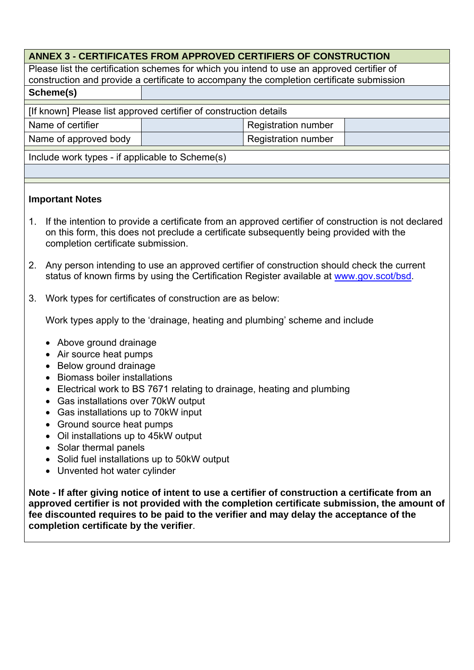| <b>ANNEX 3 - CERTIFICATES FROM APPROVED CERTIFIERS OF CONSTRUCTION</b>                     |  |                            |  |  |  |
|--------------------------------------------------------------------------------------------|--|----------------------------|--|--|--|
| Please list the certification schemes for which you intend to use an approved certifier of |  |                            |  |  |  |
| construction and provide a certificate to accompany the completion certificate submission  |  |                            |  |  |  |
| Scheme(s)                                                                                  |  |                            |  |  |  |
| [If known] Please list approved certifier of construction details                          |  |                            |  |  |  |
| Name of certifier                                                                          |  | <b>Registration number</b> |  |  |  |
| Name of approved body                                                                      |  | <b>Registration number</b> |  |  |  |
| Include work types - if applicable to Scheme(s)                                            |  |                            |  |  |  |
|                                                                                            |  |                            |  |  |  |
|                                                                                            |  |                            |  |  |  |
| <b>Important Notes</b>                                                                     |  |                            |  |  |  |

- 1. If the intention to provide a certificate from an approved certifier of construction is not declared on this form, this does not preclude a certificate subsequently being provided with the completion certificate submission.
- 2. Any person intending to use an approved certifier of construction should check the current status of known firms by using the Certification Register available at www.gov.scot/bsd.
- 3. Work types for certificates of construction are as below:

Work types apply to the 'drainage, heating and plumbing' scheme and include

- Above ground drainage
- Air source heat pumps
- Below ground drainage
- Biomass boiler installations
- Electrical work to BS 7671 relating to drainage, heating and plumbing
- Gas installations over 70kW output
- Gas installations up to 70kW input
- Ground source heat pumps
- Oil installations up to 45kW output
- Solar thermal panels
- Solid fuel installations up to 50kW output
- Unvented hot water cylinder

**Note - If after giving notice of intent to use a certifier of construction a certificate from an approved certifier is not provided with the completion certificate submission, the amount of fee discounted requires to be paid to the verifier and may delay the acceptance of the completion certificate by the verifier**.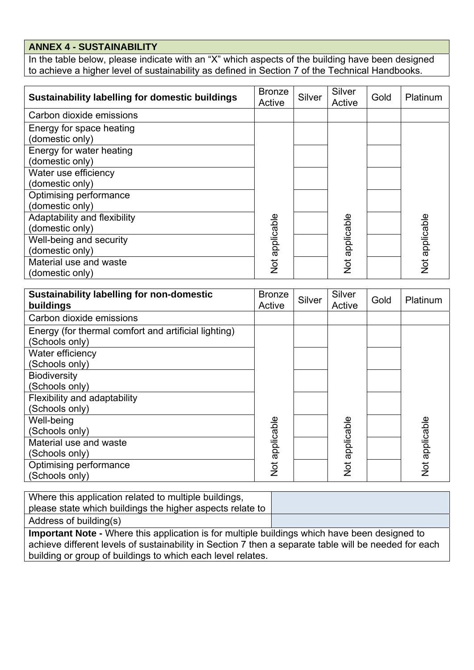# **ANNEX 4 - SUSTAINABILITY**

In the table below, please indicate with an "X" which aspects of the building have been designed to achieve a higher level of sustainability as defined in Section 7 of the Technical Handbooks.

| <b>Sustainability labelling for domestic buildings</b> | <b>Bronze</b><br>Active | Silver | Silver<br>Active | Gold | Platinum       |
|--------------------------------------------------------|-------------------------|--------|------------------|------|----------------|
| Carbon dioxide emissions                               |                         |        |                  |      |                |
| Energy for space heating                               |                         |        |                  |      |                |
| (domestic only)                                        |                         |        |                  |      |                |
| Energy for water heating                               |                         |        |                  |      |                |
| (domestic only)                                        |                         |        |                  |      |                |
| Water use efficiency                                   |                         |        |                  |      |                |
| (domestic only)                                        |                         |        |                  |      |                |
| Optimising performance                                 |                         |        |                  |      |                |
| (domestic only)                                        |                         |        |                  |      |                |
| Adaptability and flexibility                           |                         |        |                  |      |                |
| (domestic only)                                        |                         |        |                  |      |                |
| Well-being and security                                |                         |        |                  |      |                |
| (domestic only)                                        |                         |        |                  |      |                |
| Material use and waste                                 | Not applicable          |        | Not applicable   |      | Not applicable |
| (domestic only)                                        |                         |        |                  |      |                |

| <b>Sustainability labelling for non-domestic</b><br>buildings | <b>Bronze</b><br>Active | Silver | Silver<br>Active | Gold | Platinum       |
|---------------------------------------------------------------|-------------------------|--------|------------------|------|----------------|
| Carbon dioxide emissions                                      |                         |        |                  |      |                |
| Energy (for thermal comfort and artificial lighting)          |                         |        |                  |      |                |
| (Schools only)                                                |                         |        |                  |      |                |
| Water efficiency                                              |                         |        |                  |      |                |
| (Schools only)                                                |                         |        |                  |      |                |
| <b>Biodiversity</b>                                           |                         |        |                  |      |                |
| (Schools only)                                                |                         |        |                  |      |                |
| Flexibility and adaptability                                  |                         |        |                  |      |                |
| (Schools only)                                                |                         |        |                  |      |                |
| Well-being                                                    |                         |        |                  |      |                |
| (Schools only)                                                |                         |        |                  |      |                |
| Material use and waste                                        |                         |        |                  |      |                |
| (Schools only)                                                |                         |        |                  |      |                |
| Optimising performance                                        | Not applicable          |        | Not applicable   |      | Not applicable |
| (Schools only)                                                |                         |        |                  |      |                |

Where this application related to multiple buildings, please state which buildings the higher aspects relate to

Address of building(s)

**Important Note -** Where this application is for multiple buildings which have been designed to achieve different levels of sustainability in Section 7 then a separate table will be needed for each building or group of buildings to which each level relates.